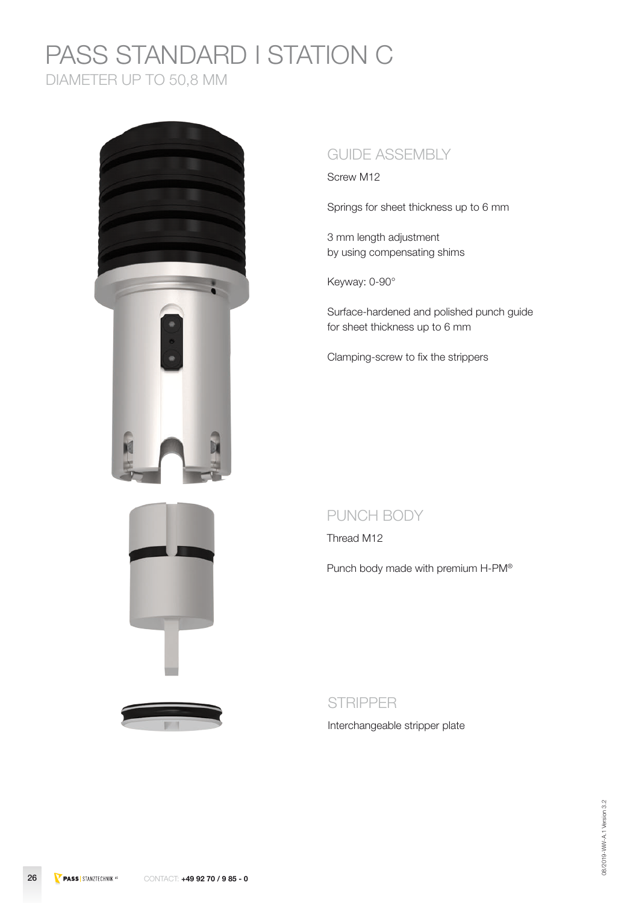### PASS STANDARD I STATION C DIAMETER UP TO 50,8 MM







### GUIDE ASSEMBLY

Screw M12

Springs for sheet thickness up to 6 mm

3 mm length adjustment by using compensating shims

Keyway: 0-90°

Surface-hardened and polished punch guide for sheet thickness up to 6 mm

Clamping-screw to fix the strippers

#### PUNCH BODY

Thread M12

Punch body made with premium H-PM®

#### STRIPPER

Interchangeable stripper plate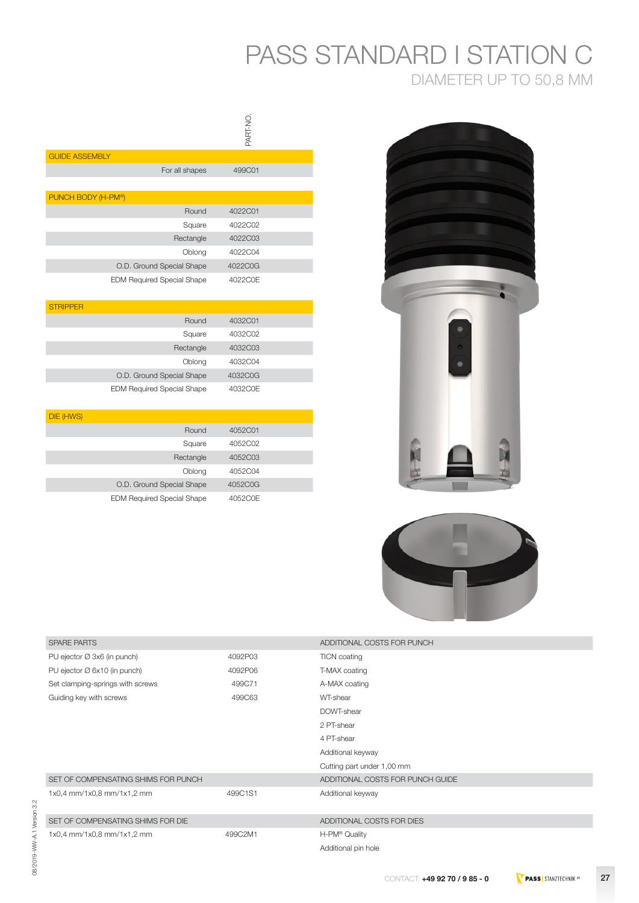## PASS STANDARD I STATION C DIAMETER UP TO 50,8 MM

|                                   | <b>ON-TRAS</b> |
|-----------------------------------|----------------|
| <b>GUIDE ASSEMBLY</b>             |                |
| For all shapes                    | 499C01         |
|                                   |                |
| PUNCH BODY (H-PM®)                |                |
| Round                             | 4022C01        |
| Square                            | 4022C02        |
| Rectangle                         | 4022C03        |
| Oblong                            | 4022C04        |
| O.D. Ground Special Shape         | 4022C0G        |
| <b>EDM Required Special Shape</b> | 4022C0E        |
| <b>STRIPPER</b>                   |                |
| Round                             | 4032C01        |
| Square                            | 4032C02        |
| Rectangle                         | 4032C03        |
| Oblong                            | 4032C04        |
| O.D. Ground Special Shape         | 4032C0G        |
| <b>EDM Required Special Shape</b> | 4032C0E        |

| DIE (HWS) |                                   |         |  |
|-----------|-----------------------------------|---------|--|
|           | Round                             | 4052C01 |  |
|           | Square                            | 4052C02 |  |
|           | Rectangle                         | 4052C03 |  |
|           | Oblong                            | 4052C04 |  |
|           | O.D. Ground Special Shape         | 4052C0G |  |
|           | <b>EDM Required Special Shape</b> | 4052C0E |  |





| <b>SPARE PARTS</b>                  |         | ADDITIONAL COSTS FOR PUNCH       |
|-------------------------------------|---------|----------------------------------|
| PU ejector Ø 3x6 (in punch)         | 4092P03 | <b>TICN</b> coating              |
| PU ejector Ø 6x10 (in punch)        | 4092P06 | T-MAX coating                    |
| Set clamping-springs with screws    | 499C71  | A-MAX coating                    |
| Guiding key with screws             | 499C63  | WT-shear                         |
|                                     |         | DOWT-shear                       |
|                                     |         | 2 PT-shear                       |
|                                     |         | 4 PT-shear                       |
|                                     |         | Additional keyway                |
|                                     |         | Cutting part under 1,00 mm       |
| SET OF COMPENSATING SHIMS FOR PUNCH |         | ADDITIONAL COSTS FOR PUNCH GUIDE |
| 1x0,4 mm/1x0,8 mm/1x1,2 mm          | 499C1S1 | Additional keyway                |
|                                     |         |                                  |
| SET OF COMPENSATING SHIMS FOR DIE   |         | ADDITIONAL COSTS FOR DIES        |
| 1x0,4 mm/1x0,8 mm/1x1,2 mm          | 499C2M1 | H-PM® Quality                    |
|                                     |         | Additional pin hole              |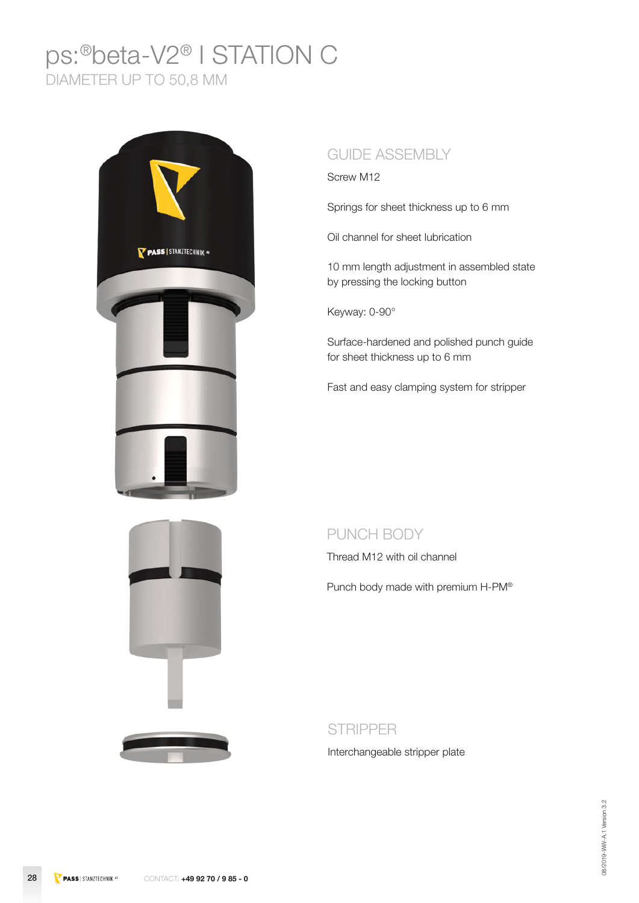### ps:®beta-V2® I STATION C DIAMETER UP TO 50,8 MM





#### GUIDE ASSEMBLY

Screw M12

Springs for sheet thickness up to 6 mm

Oil channel for sheet lubrication

10 mm length adjustment in assembled state by pressing the locking button

Keyway: 0-90°

Surface-hardened and polished punch guide for sheet thickness up to 6 mm

Fast and easy clamping system for stripper

#### PUNCH BODY

Thread M12 with oil channel

Punch body made with premium H-PM®

STRIPPER

Interchangeable stripper plate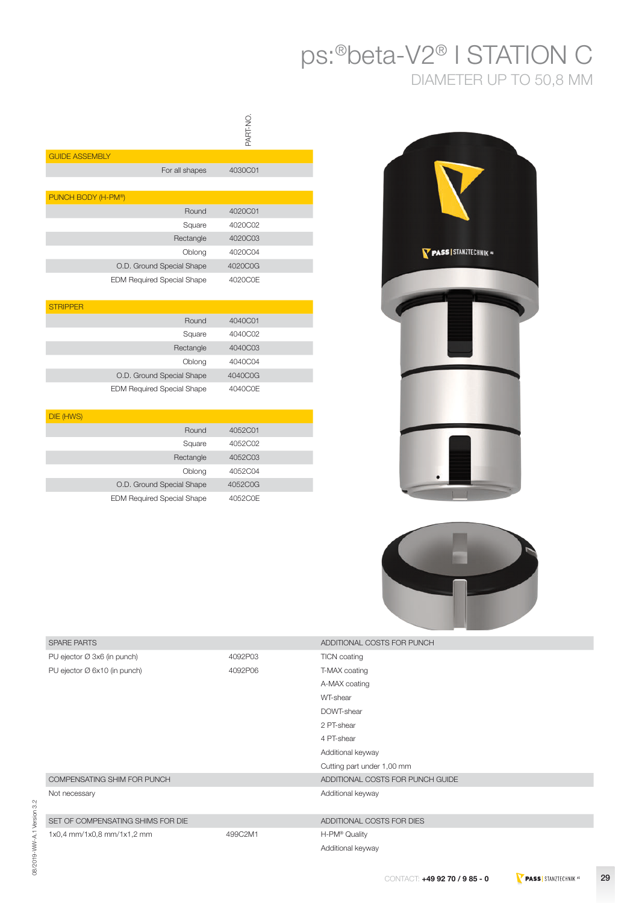## ps:®beta-V2® I STATION C DIAMETER UP TO 50,8 MM

|                                   | PART-NO. |
|-----------------------------------|----------|
| <b>GUIDE ASSEMBLY</b>             |          |
| For all shapes                    | 4030C01  |
|                                   |          |
| PUNCH BODY (H-PM®)                |          |
| Round                             | 4020C01  |
| Square                            | 4020C02  |
| Rectangle                         | 4020C03  |
| Oblong                            | 4020C04  |
| O.D. Ground Special Shape         | 4020C0G  |
| <b>EDM Required Special Shape</b> | 4020C0E  |
| <b>STRIPPER</b>                   |          |
| Round                             | 4040C01  |
| Square                            | 4040C02  |
| Rectangle                         | 4040C03  |
| Oblong                            | 4040C04  |
| O.D. Ground Special Shape         | 4040C0G  |
| <b>EDM Required Special Shape</b> | 4040C0E  |
| DIE (HWS)                         |          |
| Round                             | 4052C01  |
| Square                            | 4052C02  |
| Rectangle                         | 4052C03  |
| Oblong                            | 4052C04  |

O.D. Ground Special Shape 4052C0G EDM Required Special Shape 4052C0E





| <b>SPARE PARTS</b>                 |         | ADDITIONAL COSTS FOR PUNCH       |
|------------------------------------|---------|----------------------------------|
| PU ejector Ø 3x6 (in punch)        | 4092P03 | <b>TICN</b> coating              |
| PU ejector Ø 6x10 (in punch)       | 4092P06 | T-MAX coating                    |
|                                    |         | A-MAX coating                    |
|                                    |         | WT-shear                         |
|                                    |         | DOWT-shear                       |
|                                    |         | 2 PT-shear                       |
|                                    |         | 4 PT-shear                       |
|                                    |         | Additional keyway                |
|                                    |         | Cutting part under 1,00 mm       |
| COMPENSATING SHIM FOR PUNCH        |         | ADDITIONAL COSTS FOR PUNCH GUIDE |
| Not necessary                      |         | Additional keyway                |
|                                    |         |                                  |
| SET OF COMPENSATING SHIMS FOR DIE  |         | ADDITIONAL COSTS FOR DIES        |
| $1x0.4$ mm/ $1x0.8$ mm/ $1x1.2$ mm | 499C2M1 | H-PM® Quality                    |
|                                    |         | Additional keyway                |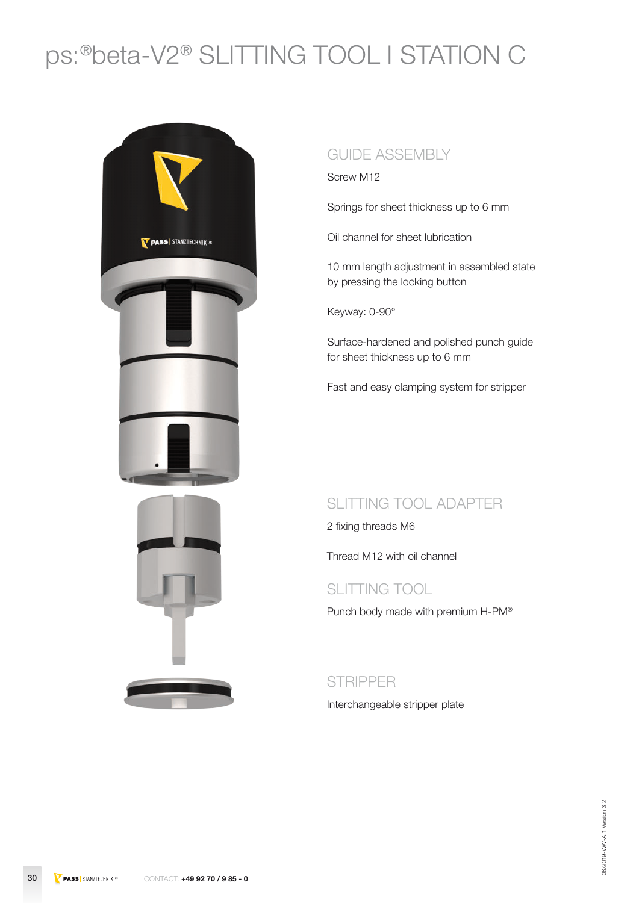# ps:®beta-V2® SLITTING TOOL I STATION C





#### GUIDE ASSEMBLY

Screw M12

Springs for sheet thickness up to 6 mm

Oil channel for sheet lubrication

10 mm length adjustment in assembled state by pressing the locking button

Keyway: 0-90°

Surface-hardened and polished punch guide for sheet thickness up to 6 mm

Fast and easy clamping system for stripper

#### SLITTING TOOL ADAPTER

2 fixing threads M6

Thread M12 with oil channel

#### SLITTING TOOL

Punch body made with premium H-PM®

#### **STRIPPER**

Interchangeable stripper plate